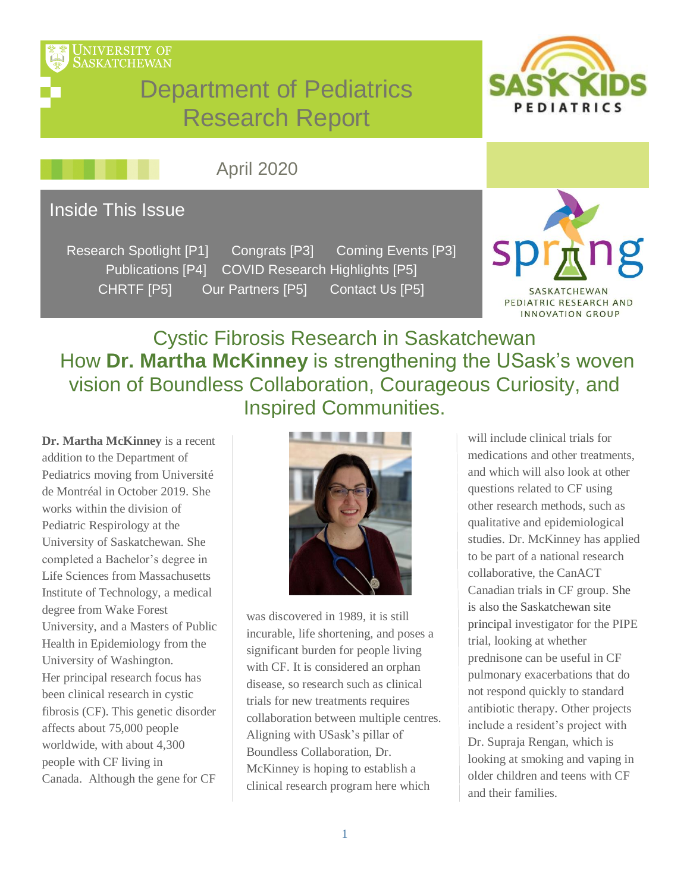

# Department of Pediatrics Research Report



### April 2020

### Inside This Issue

Research Spotlight [P1] Congrats [P3] Coming Events [P3] Publications [P4] COVID Research Highlights [P5] CHRTF [P5] Our Partners [P5] Contact Us [P5]



INNOVATION GROUP

# Cystic Fibrosis Research in Saskatchewan How **Dr. Martha McKinney** is strengthening the USask's woven vision of Boundless Collaboration, Courageous Curiosity, and Inspired Communities.

**Dr. Martha McKinney** is a recent addition to the Department of Pediatrics moving from Université de Montréal in October 2019. She works within the division of Pediatric Respirology at the University of Saskatchewan. She completed a Bachelor's degree in Life Sciences from Massachusetts Institute of Technology, a medical degree from Wake Forest University, and a Masters of Public Health in Epidemiology from the University of Washington. Her principal research focus has been clinical research in cystic fibrosis (CF). This genetic disorder affects about 75,000 people worldwide, with about 4,300 people with CF living in Canada. Although the gene for CF



was discovered in 1989, it is still incurable, life shortening, and poses a significant burden for people living with CF. It is considered an orphan disease, so research such as clinical trials for new treatments requires collaboration between multiple centres. Aligning with USask's pillar of Boundless Collaboration, Dr. McKinney is hoping to establish a clinical research program here which

will include clinical trials for medications and other treatments, and which will also look at other questions related to CF using other research methods, such as qualitative and epidemiological studies. Dr. McKinney has applied to be part of a national research collaborative, the CanACT Canadian trials in CF group. She is also the Saskatchewan site principal investigator for the PIPE trial, looking at whether prednisone can be useful in CF pulmonary exacerbations that do not respond quickly to standard antibiotic therapy. Other projects include a resident's project with Dr. Supraja Rengan, which is looking at smoking and vaping in older children and teens with CF and their families.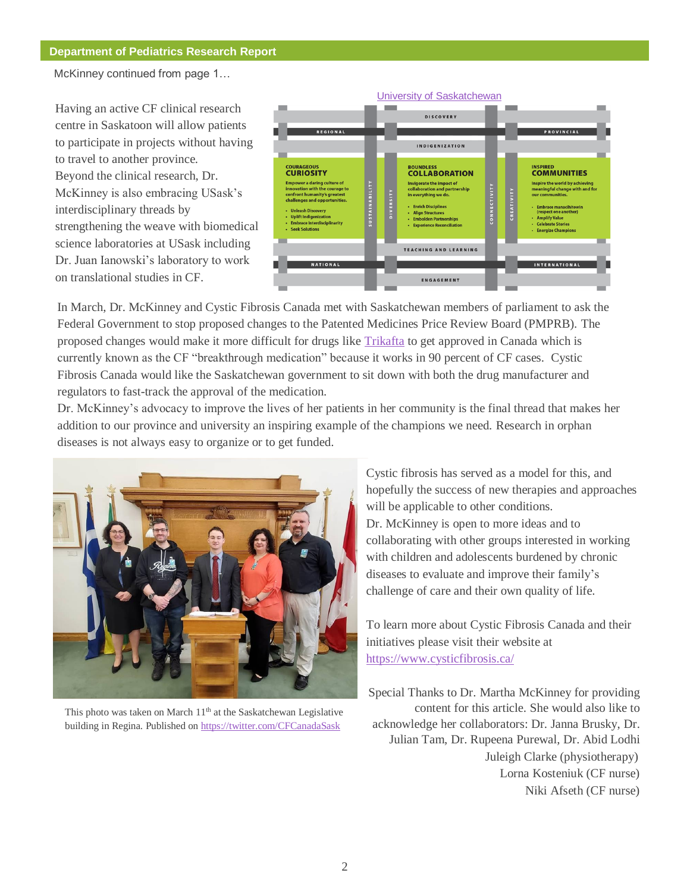McKinney continued from page 1…

Having an active CF clinical research centre in Saskatoon will allow patients to participate in projects without having to travel to another province. Beyond the clinical research, Dr. McKinney is also embracing USask's interdisciplinary threads by strengthening the weave with biomedical science laboratories at USask including Dr. Juan Ianowski's laboratory to work on translational studies in CF.



In March, Dr. McKinney and Cystic Fibrosis Canada met with Saskatchewan members of parliament to ask the Federal Government to stop proposed changes to the Patented Medicines Price Review Board (PMPRB). The proposed changes would make it more difficult for drugs like [Trikafta](https://www.cysticfibrosis.ca/our-programs/advocacy/access-to-medicines/trikafta) to get approved in Canada which is currently known as the CF "breakthrough medication" because it works in 90 percent of CF cases. Cystic Fibrosis Canada would like the Saskatchewan government to sit down with both the drug manufacturer and regulators to fast-track the approval of the medication.

Dr. McKinney's advocacy to improve the lives of her patients in her community is the final thread that makes her addition to our province and university an inspiring example of the champions we need. Research in orphan diseases is not always easy to organize or to get funded.



This photo was taken on March  $11<sup>th</sup>$  at the Saskatchewan Legislative building in Regina. Published on<https://twitter.com/CFCanadaSask>

Cystic fibrosis has served as a model for this, and hopefully the success of new therapies and approaches will be applicable to other conditions. Dr. McKinney is open to more ideas and to collaborating with other groups interested in working with children and adolescents burdened by chronic diseases to evaluate and improve their family's challenge of care and their own quality of life.

To learn more about Cystic Fibrosis Canada and their initiatives please visit their website at <https://www.cysticfibrosis.ca/>

Special Thanks to Dr. Martha McKinney for providing content for this article. She would also like to acknowledge her collaborators: Dr. Janna Brusky, Dr. Julian Tam, Dr. Rupeena Purewal, Dr. Abid Lodhi Juleigh Clarke (physiotherapy) Lorna Kosteniuk (CF nurse) Niki Afseth (CF nurse)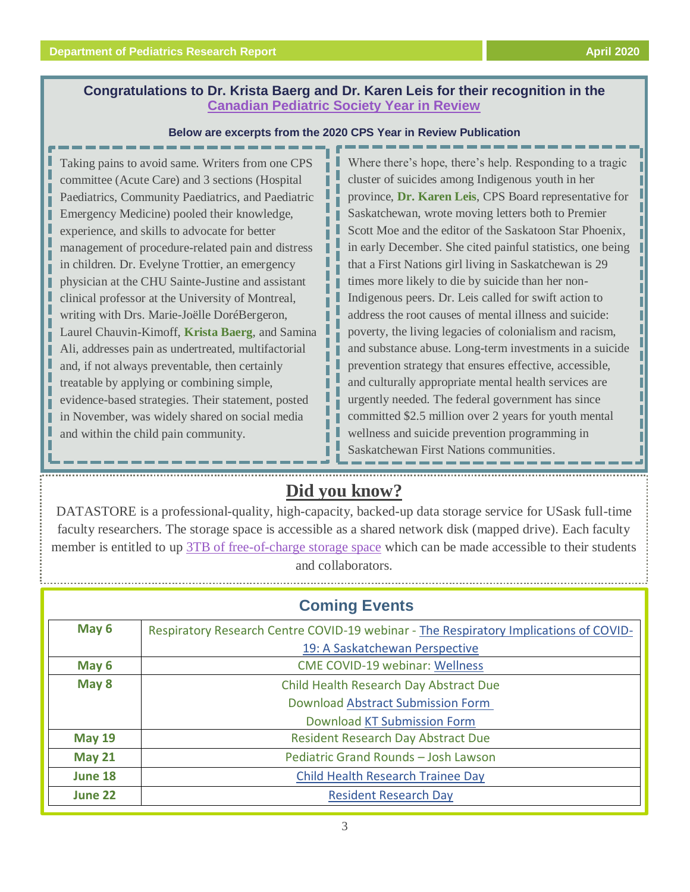#### **Congratulations to Dr. Krista Baerg and Dr. Karen Leis for their recognition in the [Canadian Pediatric Society Year in Review](https://www.cps.ca/uploads/publications/20in19-EN.PDF)**

#### **Below are excerpts from the 2020 CPS Year in Review Publication**

Taking pains to avoid same. Writers from one CPS committee (Acute Care) and 3 sections (Hospital Paediatrics, Community Paediatrics, and Paediatric Emergency Medicine) pooled their knowledge, experience, and skills to advocate for better management of procedure-related pain and distress in children. Dr. Evelyne Trottier, an emergency physician at the CHU Sainte-Justine and assistant clinical professor at the University of Montreal, writing with Drs. Marie-Joëlle DoréBergeron, Laurel Chauvin-Kimoff, **Krista Baerg**, and Samina Ali, addresses pain as undertreated, multifactorial and, if not always preventable, then certainly treatable by applying or combining simple, evidence-based strategies. Their statement, posted in November, was widely shared on social media and within the child pain community.

Where there's hope, there's help. Responding to a tragic cluster of suicides among Indigenous youth in her province, **Dr. Karen Leis**, CPS Board representative for Saskatchewan, wrote moving letters both to Premier Scott Moe and the editor of the Saskatoon Star Phoenix, in early December. She cited painful statistics, one being that a First Nations girl living in Saskatchewan is 29 times more likely to die by suicide than her non-Indigenous peers. Dr. Leis called for swift action to address the root causes of mental illness and suicide: poverty, the living legacies of colonialism and racism, and substance abuse. Long-term investments in a suicide prevention strategy that ensures effective, accessible, and culturally appropriate mental health services are urgently needed. The federal government has since committed \$2.5 million over 2 years for youth mental wellness and suicide prevention programming in Saskatchewan First Nations communities.

### **Did you know?**

DATASTORE is a professional-quality, high-capacity, backed-up data storage service for USask full-time faculty researchers. The storage space is accessible as a shared network disk (mapped drive). Each faculty member is entitled to up [3TB of free-of-charge storage space](https://jira.usask.ca/servicedesk/customer/kb/view/1547042989?q=DATASTORE) which can be made accessible to their students and collaborators.

| <b>Coming Events</b> |                                                                                       |
|----------------------|---------------------------------------------------------------------------------------|
| May 6                | Respiratory Research Centre COVID-19 webinar - The Respiratory Implications of COVID- |
|                      | 19: A Saskatchewan Perspective                                                        |
| May 6                | <b>CME COVID-19 webinar: Wellness</b>                                                 |
| May 8                | Child Health Research Day Abstract Due                                                |
|                      | <b>Download Abstract Submission Form</b>                                              |
|                      | <b>Download KT Submission Form</b>                                                    |
| <b>May 19</b>        | Resident Research Day Abstract Due                                                    |
| <b>May 21</b>        | Pediatric Grand Rounds - Josh Lawson                                                  |
| June 18              | Child Health Research Trainee Day                                                     |
| June 22              | <b>Resident Research Day</b>                                                          |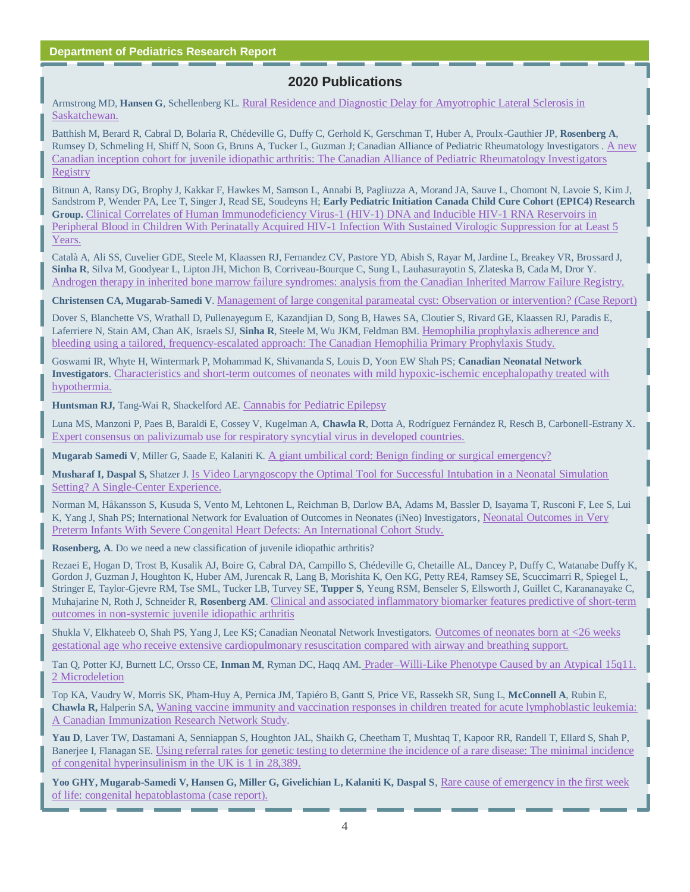#### **2020 Publications**

Armstrong MD, **Hansen G**, Schellenberg KL. [Rural Residence and Diagnostic Delay for Amyotrophic Lateral Sclerosis in](https://www.ncbi.nlm.nih.gov/pubmed/32100650)  [Saskatchewan.](https://www.ncbi.nlm.nih.gov/pubmed/32100650)

Batthish M, Berard R, Cabral D, Bolaria R, Chédeville G, Duffy C, Gerhold K, Gerschman T, Huber A, Proulx-Gauthier JP, **Rosenberg A**, Rumsey D, Schmeling H, Shiff N, Soon G, Bruns A, Tucker L, Guzman J; Canadian Alliance of Pediatric Rheumatology Investigators . [A new](https://www.ncbi.nlm.nih.gov/pubmed/32044978)  [Canadian inception cohort for juvenile idiopathic arthritis: The Canadian Alliance of Pediatric Rheumatology Investigators](https://www.ncbi.nlm.nih.gov/pubmed/32044978)  [Registry](https://www.ncbi.nlm.nih.gov/pubmed/32044978)

Bitnun A, Ransy DG, Brophy J, Kakkar F, Hawkes M, Samson L, Annabi B, Pagliuzza A, Morand JA, Sauve L, Chomont N, Lavoie S, Kim J, Sandstrom P, Wender PA, Lee T, Singer J, Read SE, Soudeyns H; **Early Pediatric Initiation Canada Child Cure Cohort (EPIC4) Research Group.** [Clinical Correlates of Human Immunodeficiency Virus-1 \(HIV-1\) DNA and Inducible HIV-1 RNA Reservoirs in](https://www.ncbi.nlm.nih.gov/pubmed/30919879)  [Peripheral Blood in Children With Perinatally Acquired HIV-1](https://www.ncbi.nlm.nih.gov/pubmed/30919879) Infection With Sustained Virologic Suppression for at Least 5 [Years.](https://www.ncbi.nlm.nih.gov/pubmed/30919879) 

Català A, Ali SS, Cuvelier GDE, Steele M, Klaassen RJ, Fernandez CV, Pastore YD, Abish S, Rayar M, Jardine L, Breakey VR, Brossard J, **Sinha R**, Silva M, Goodyear L, Lipton JH, Michon B, Corriveau-Bourque C, Sung L, Lauhasurayotin S, Zlateska B, Cada M, Dror Y. [Androgen therapy in inherited bone marrow failure syndromes: analysis from the Canadian Inherited Marrow Failure Registry.](https://www.ncbi.nlm.nih.gov/pubmed/32128787)

**Christensen CA, Mugarab-Samedi V**. [Management of large congenital parameatal cyst: Observation or intervention? \(Case Report\)](https://www.ncbi.nlm.nih.gov/pubmed/32276218)

Dover S, Blanchette VS, Wrathall D, Pullenayegum E, Kazandjian D, Song B, Hawes SA, Cloutier S, Rivard GE, Klaassen RJ, Paradis E, Laferriere N, Stain AM, Chan AK, Israels SJ, **Sinha R**, Steele M, Wu JKM, Feldman BM. [Hemophilia prophylaxis adherence and](https://www.ncbi.nlm.nih.gov/pubmed/32110763)  [bleeding using a tailored, frequency-escalated approach: The Canadian Hemophilia Primary Prophylaxis Study.](https://www.ncbi.nlm.nih.gov/pubmed/32110763)

Goswami IR, Whyte H, Wintermark P, Mohammad K, Shivananda S, Louis D, Yoon EW Shah PS; **Canadian Neonatal Network Investigators**. [Characteristics and short-term outcomes of neonates with mild hypoxic-ischemic encephalopathy treated with](https://www.ncbi.nlm.nih.gov/pubmed/31723237)  [hypothermia.](https://www.ncbi.nlm.nih.gov/pubmed/31723237)

**Huntsman RJ,** Tang-Wai R, Shackelford AE. [Cannabis for Pediatric Epilepsy](https://www.ncbi.nlm.nih.gov/pubmed/31895184)

Luna MS, Manzoni P, Paes B, Baraldi E, Cossey V, Kugelman A, **Chawla R**, Dotta A, Rodríguez Fernández R, Resch B, Carbonell-Estrany X. [Expert consensus on palivizumab use for respiratory syncytial virus in developed countries.](https://www.ncbi.nlm.nih.gov/pubmed/31060948)

**Mugarab Samedi V**, Miller G, Saade E, Kalaniti K. [A giant umbilical cord: Benign finding or surgical emergency?](https://www.ncbi.nlm.nih.gov/pubmed/32128200)

**Musharaf I, Daspal S,** Shatzer J. [Is Video Laryngoscopy the Optimal Tool for Successful Intubation in a Neonatal Simulation](https://www.ncbi.nlm.nih.gov/pubmed/31993245)  [Setting? A Single-Center Experience.](https://www.ncbi.nlm.nih.gov/pubmed/31993245)

Norman M, Håkansson S, Kusuda S, Vento M, Lehtonen L, Reichman B, Darlow BA, Adams M, Bassler D, Isayama T, Rusconi F, Lee S, Lui K, Yang J, Shah PS; International Network for Evaluation of Outcomes in Neonates (iNeo) Investigators[, Neonatal Outcomes in Very](https://www.ncbi.nlm.nih.gov/pubmed/32079479)  [Preterm Infants With Severe Congenital Heart Defects: An International Cohort Study.](https://www.ncbi.nlm.nih.gov/pubmed/32079479)

**Rosenberg, A**. Do we need a new classification of juvenile idiopathic arthritis?

Rezaei E, Hogan D, Trost B, Kusalik AJ, Boire G, Cabral DA, Campillo S, Chédeville G, Chetaille AL, Dancey P, Duffy C, Watanabe Duffy K, Gordon J, Guzman J, Houghton K, Huber AM, Jurencak R, Lang B, Morishita K, Oen KG, Petty RE4, Ramsey SE, Scuccimarri R, Spiegel L, Stringer E, Taylor-Gjevre RM, Tse SML, Tucker LB, Turvey SE, **Tupper S**, Yeung RSM, Benseler S, Ellsworth J, Guillet C, Karananayake C, Muhajarine N, Roth J, Schneider R, **Rosenberg AM**. [Clinical and associated inflammatory biomarker features predictive of short-term](https://www.ncbi.nlm.nih.gov/pubmed/?term=Clinical+and+associated+inflammatory+biomarker+features+predictive+of+short-term+outcomes+in+non-systemic+juvenile+idiopathic+arthritis)  [outcomes in non-systemic juvenile idiopathic arthritis](https://www.ncbi.nlm.nih.gov/pubmed/?term=Clinical+and+associated+inflammatory+biomarker+features+predictive+of+short-term+outcomes+in+non-systemic+juvenile+idiopathic+arthritis)

Shukla V, Elkhateeb O, Shah PS, Yang J, Lee KS; Canadian Neonatal Network Investigators. [Outcomes of neonates born at <26 weeks](https://www.ncbi.nlm.nih.gov/pubmed/31911647)  [gestational age who receive extensive cardiopulmonary resuscitation compared with airway and breathing support.](https://www.ncbi.nlm.nih.gov/pubmed/31911647)

Tan Q, Potter KJ, Burnett LC, Orsso CE, **Inman M**, Ryman DC, Haqq AM. [Prader–Willi-Like Phenotype Caused by an Atypical 15q11.](https://www.ncbi.nlm.nih.gov/pubmed/31991769)  [2 Microdeletion](https://www.ncbi.nlm.nih.gov/pubmed/31991769)

Top KA, Vaudry W, Morris SK, Pham-Huy A, Pernica JM, Tapiéro B, Gantt S, Price VE, Rassekh SR, Sung L, **McConnell A**, Rubin E, **Chawla R,** Halperin SA, [Waning vaccine immunity and vaccination responses in children treated for acute lymphoblastic leukemia:](https://www.ncbi.nlm.nih.gov/pubmed/32067048)  [A Canadian Immunization Research Network Study.](https://www.ncbi.nlm.nih.gov/pubmed/32067048)

**Yau D**, Laver TW, Dastamani A, Senniappan S, Houghton JAL, Shaikh G, Cheetham T, Mushtaq T, Kapoor RR, Randell T, Ellard S, Shah P, Banerjee I, Flanagan SE. [Using referral rates for genetic testing to determine the incidence of a rare disease: The minimal incidence](https://www.ncbi.nlm.nih.gov/pubmed/32027664)  [of congenital hyperinsulinism in the UK is 1 in 28,389.](https://www.ncbi.nlm.nih.gov/pubmed/32027664)

**Yoo GHY, Mugarab-Samedi V, Hansen G, Miller G, Givelichian L, Kalaniti K, Daspal S**, [Rare cause of emergency in the first week](https://www.ncbi.nlm.nih.gov/pubmed/32123567)  [of life: congenital hepatoblastoma \(case report\).](https://www.ncbi.nlm.nih.gov/pubmed/32123567)